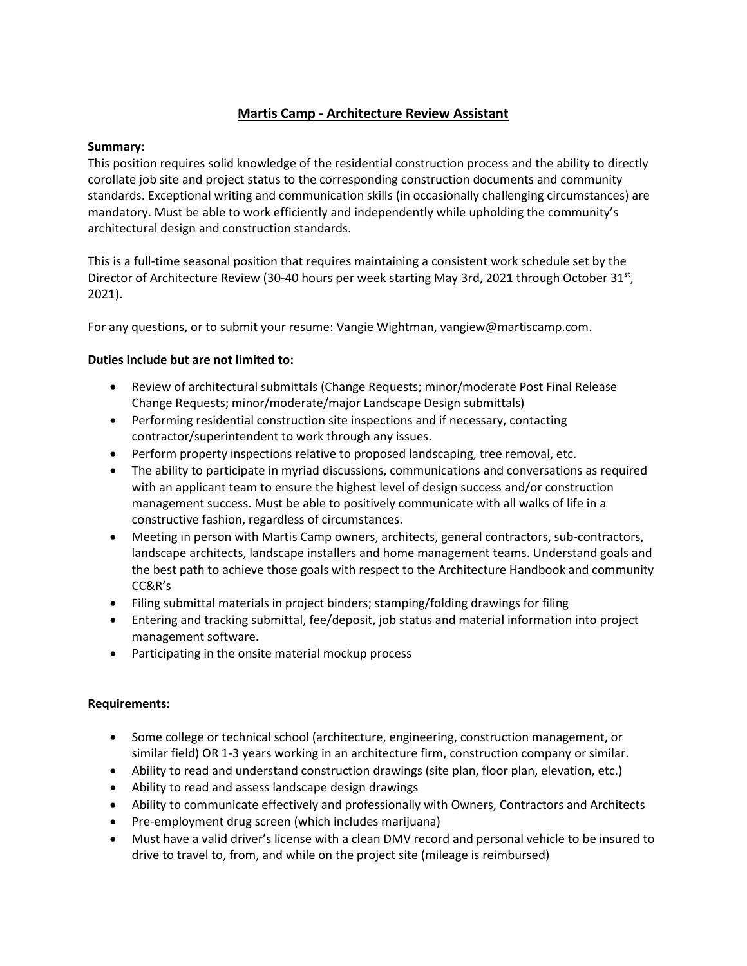# **Martis Camp - Architecture Review Assistant**

## **Summary:**

This position requires solid knowledge of the residential construction process and the ability to directly corollate job site and project status to the corresponding construction documents and community standards. Exceptional writing and communication skills (in occasionally challenging circumstances) are mandatory. Must be able to work efficiently and independently while upholding the community's architectural design and construction standards.

This is a full-time seasonal position that requires maintaining a consistent work schedule set by the Director of Architecture Review (30-40 hours per week starting May 3rd, 2021 through October 31<sup>st</sup>, 2021).

For any questions, or to submit your resume: Vangie Wightman, vangiew@martiscamp.com.

## **Duties include but are not limited to:**

- Review of architectural submittals (Change Requests; minor/moderate Post Final Release Change Requests; minor/moderate/major Landscape Design submittals)
- Performing residential construction site inspections and if necessary, contacting contractor/superintendent to work through any issues.
- Perform property inspections relative to proposed landscaping, tree removal, etc.
- The ability to participate in myriad discussions, communications and conversations as required with an applicant team to ensure the highest level of design success and/or construction management success. Must be able to positively communicate with all walks of life in a constructive fashion, regardless of circumstances.
- Meeting in person with Martis Camp owners, architects, general contractors, sub-contractors, landscape architects, landscape installers and home management teams. Understand goals and the best path to achieve those goals with respect to the Architecture Handbook and community CC&R's
- Filing submittal materials in project binders; stamping/folding drawings for filing
- Entering and tracking submittal, fee/deposit, job status and material information into project management software.
- Participating in the onsite material mockup process

### **Requirements:**

- Some college or technical school (architecture, engineering, construction management, or similar field) OR 1-3 years working in an architecture firm, construction company or similar.
- Ability to read and understand construction drawings (site plan, floor plan, elevation, etc.)
- Ability to read and assess landscape design drawings
- Ability to communicate effectively and professionally with Owners, Contractors and Architects
- Pre-employment drug screen (which includes marijuana)
- Must have a valid driver's license with a clean DMV record and personal vehicle to be insured to drive to travel to, from, and while on the project site (mileage is reimbursed)